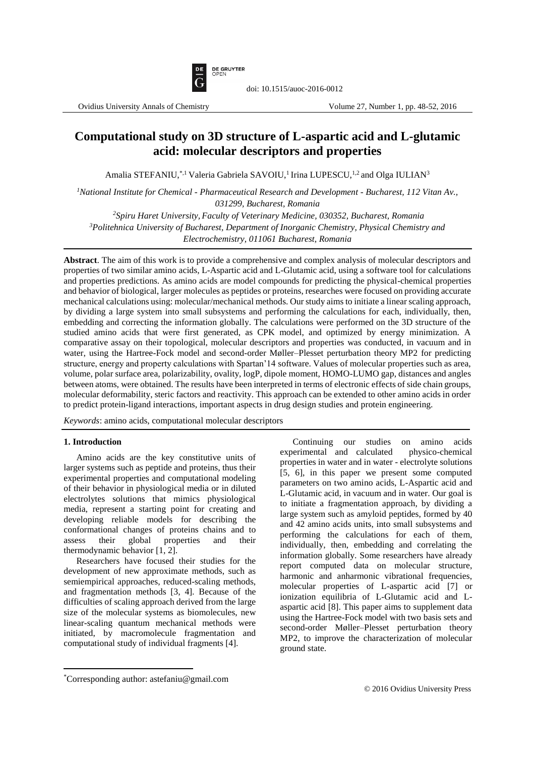

# **Computational study on 3D structure of L-aspartic acid and L-glutamic acid: molecular descriptors and properties**

Amalia STEFANIU,<sup>\*,1</sup> Valeria Gabriela SAVOIU,<sup>1</sup> Irina LUPESCU,<sup>1,2</sup> and Olga IULIAN<sup>3</sup>

*<sup>1</sup>National Institute for Chemical - Pharmaceutical Research and Development - Bucharest, 112 Vitan Av., 031299, Bucharest, Romania*

*<sup>2</sup>Spiru Haret University, Faculty of Veterinary Medicine, 030352, Bucharest, Romania*

*<sup>3</sup>Politehnica University of Bucharest, Department of Inorganic Chemistry, Physical Chemistry and* 

*Electrochemistry, 011061 Bucharest, Romania*

**Abstract**. The aim of this work is to provide a comprehensive and complex analysis of molecular descriptors and properties of two similar amino acids, L-Aspartic acid and L-Glutamic acid, using a software tool for calculations and properties predictions. As amino acids are model compounds for predicting the physical-chemical properties and behavior of biological, larger molecules as peptides or proteins, researches were focused on providing accurate mechanical calculations using: molecular/mechanical methods. Our study aims to initiate a linear scaling approach, by dividing a large system into small subsystems and performing the calculations for each, individually, then, embedding and correcting the information globally. The calculations were performed on the 3D structure of the studied amino acids that were first generated, as CPK model, and optimized by energy minimization. A comparative assay on their topological, molecular descriptors and properties was conducted, in vacuum and in water, using the Hartree-Fock model and second-order Møller–Plesset perturbation theory MP2 for predicting structure, energy and property calculations with Spartan'14 software. Values of molecular properties such as area, volume, polar surface area, polarizability, ovality, logP, dipole moment, HOMO-LUMO gap, distances and angles between atoms, were obtained. The results have been interpreted in terms of electronic effects of side chain groups, molecular deformability, steric factors and reactivity. This approach can be extended to other amino acids in order to predict protein-ligand interactions, important aspects in drug design studies and protein engineering.

*Keywords*: amino acids, computational molecular descriptors

## **1. Introduction**

Amino acids are the key constitutive units of larger systems such as peptide and proteins, thus their experimental properties and computational modeling of their behavior in physiological media or in diluted electrolytes solutions that mimics physiological media, represent a starting point for creating and developing reliable models for describing the conformational changes of proteins chains and to assess their global properties and their thermodynamic behavior [1, 2].

Researchers have focused their studies for the development of new approximate methods, such as semiempirical approaches, reduced-scaling methods, and fragmentation methods [3, 4]. Because of the difficulties of scaling approach derived from the large size of the molecular systems as biomolecules, new linear-scaling quantum mechanical methods were initiated, by macromolecule fragmentation and computational study of individual fragments [4].

Continuing our studies on amino acids experimental and calculated properties in water and in water - electrolyte solutions [5, 6], in this paper we present some computed parameters on two amino acids, L-Aspartic acid and L-Glutamic acid, in vacuum and in water. Our goal is to initiate a fragmentation approach, by dividing a large system such as amyloid peptides, formed by 40 and 42 amino acids units, into small subsystems and performing the calculations for each of them, individually, then, embedding and correlating the information globally. Some researchers have already report computed data on molecular structure, harmonic and anharmonic vibrational frequencies, molecular properties of L-aspartic acid [7] or ionization equilibria of L-Glutamic acid and Laspartic acid [8]. This paper aims to supplement data using the Hartree-Fock model with two basis sets and second-order Møller–Plesset perturbation theory MP2, to improve the characterization of molecular ground state.

 $\overline{a}$ \*Corresponding author: astefaniu@gmail.com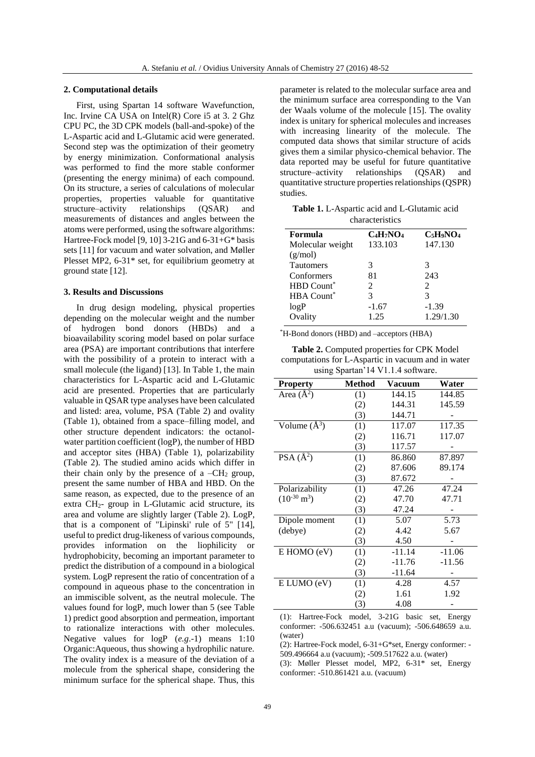#### **2. Computational details**

First, using Spartan 14 software Wavefunction, Inc. Irvine CA USA on Intel(R) Core i5 at 3. 2 Ghz CPU PC, the 3D CPK models (ball-and-spoke) of the L-Aspartic acid and L-Glutamic acid were generated. Second step was the optimization of their geometry by energy minimization. Conformational analysis was performed to find the more stable conformer (presenting the energy minima) of each compound. On its structure, a series of calculations of molecular properties, properties valuable for quantitative structure–activity relationships (QSAR) and measurements of distances and angles between the atoms were performed, using the software algorithms: Hartree-Fock model [9, 10] 3-21G and  $6-31+G^*$  basis sets [11] for vacuum and water solvation, and Møller Plesset MP2, 6-31\* set, for equilibrium geometry at ground state [12].

#### **3. Results and Discussions**

In drug design modeling, physical properties depending on the molecular weight and the number of hydrogen bond donors (HBDs) and a bioavailability scoring model based on polar surface area (PSA) are important contributions that interfere with the possibility of a protein to interact with a small molecule (the ligand) [13]. In Table 1, the main characteristics for L-Aspartic acid and L-Glutamic acid are presented. Properties that are particularly valuable in QSAR type analyses have been calculated and listed: area, volume, PSA (Table 2) and ovality (Table 1), obtained from a space–filling model, and other structure dependent indicators: the octanolwater partition coefficient (logP), the number of HBD and acceptor sites (HBA) (Table 1), polarizability (Table 2). The studied amino acids which differ in their chain only by the presence of a  $-CH<sub>2</sub>$  group, present the same number of HBA and HBD. On the same reason, as expected, due to the presence of an extra CH2- group in L-Glutamic acid structure, its area and volume are slightly larger (Table 2). LogP, that is a component of "Lipinski' rule of 5" [14], useful to predict drug-likeness of various compounds, provides information on the liophilicity or hydrophobicity, becoming an important parameter to predict the distribution of a compound in a biological system. LogP represent the ratio of concentration of a compound in aqueous phase to the concentration in an immiscible solvent, as the neutral molecule. The values found for logP, much lower than 5 (see Table 1) predict good absorption and permeation, important to rationalize interactions with other molecules. Negative values for logP (*e.g*.-1) means 1:10 Organic:Aqueous, thus showing a hydrophilic nature. The ovality index is a measure of the deviation of a molecule from the spherical shape, considering the minimum surface for the spherical shape. Thus, this parameter is related to the molecular surface area and the minimum surface area corresponding to the Van der Waals volume of the molecule [15]. The ovality index is unitary for spherical molecules and increases with increasing linearity of the molecule. The computed data shows that similar structure of acids gives them a similar physico-chemical behavior. The data reported may be useful for future quantitative<br>structure-activity relationships (QSAR) and structure–activity quantitative structure properties relationships (QSPR) studies.

**Table 1.** L-Aspartic acid and L-Glutamic acid characteristics

| Formula           | $C_4H_7NO_4$  | $C_5H_9NO_4$   |
|-------------------|---------------|----------------|
| Molecular weight  | 133.103       | 147.130        |
| (g/mol)           |               |                |
| <b>Tautomers</b>  | 3             | 3              |
| Conformers        | 81            | 243            |
| <b>HBD</b> Count* | $\mathcal{L}$ | $\mathfrak{D}$ |
| <b>HBA</b> Count* | 3             | 3              |
| logP              | $-1.67$       | $-1.39$        |
| Ovality           | 1.25          | 1.29/1.30      |
|                   |               |                |

\*H-Bond donors (HBD) and –acceptors (HBA)

**Table 2.** Computed properties for CPK Model computations for L-Aspartic in vacuum and in water using Spartan'14 V1.1.4 software.

| <b>Property</b>          | <b>Method</b> | Vacuum   | Water    |
|--------------------------|---------------|----------|----------|
| Area $(\AA^2)$           | (1)           | 144.15   | 144.85   |
|                          | (2)           | 144.31   | 145.59   |
|                          | (3)           | 144.71   |          |
| Volume $(A^3)$           | (1)           | 117.07   | 117.35   |
|                          | (2)           | 116.71   | 117.07   |
|                          | (3)           | 117.57   |          |
| PSA $(\AA^2)$            | (1)           | 86.860   | 87.897   |
|                          | (2)           | 87.606   | 89.174   |
|                          | (3)           | 87.672   |          |
| Polarizability           | (1)           | 47.26    | 47.24    |
| $(10^{-30} \text{ m}^3)$ | (2)           | 47.70    | 47.71    |
|                          | (3)           | 47.24    |          |
| Dipole moment            | (1)           | 5.07     | 5.73     |
| (debye)                  | (2)           | 4.42     | 5.67     |
|                          | (3)           | 4.50     |          |
| E HOMO (eV)              | (1)           | $-11.14$ | $-11.06$ |
|                          | (2)           | $-11.76$ | $-11.56$ |
|                          | (3)           | $-11.64$ |          |
| E LUMO (eV)              | (1)           | 4.28     | 4.57     |
|                          | (2)           | 1.61     | 1.92     |
|                          | (3)           | 4.08     |          |

(1): Hartree-Fock model, 3-21G basic set, Energy conformer: -506.632451 a.u (vacuum); -506.648659 a.u. (water)

(2): Hartree-Fock model, 6-31+G\*set, Energy conformer: - 509.496664 a.u (vacuum); -509.517622 a.u. (water)

(3): Møller Plesset model, MP2, 6-31\* set, Energy conformer: -510.861421 a.u. (vacuum)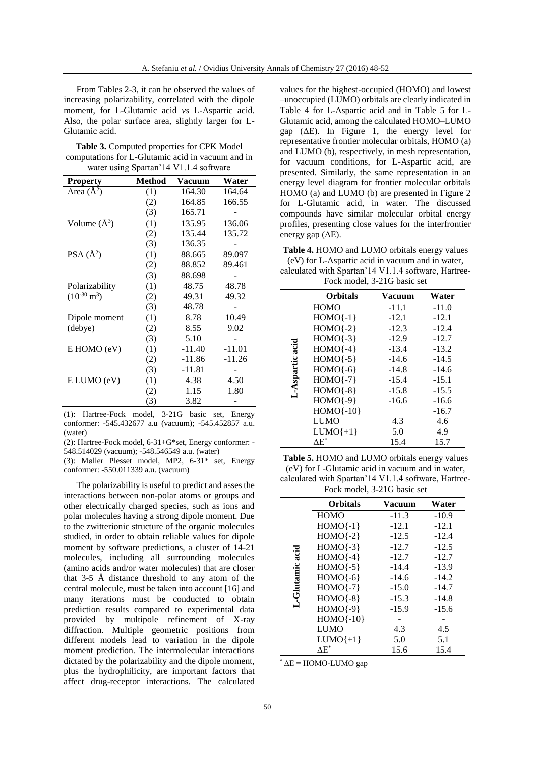From Tables 2-3, it can be observed the values of increasing polarizability, correlated with the dipole moment, for L-Glutamic acid *vs* L-Aspartic acid. Also, the polar surface area, slightly larger for L-Glutamic acid.

| <b>Table 3.</b> Computed properties for CPK Model |
|---------------------------------------------------|
| computations for L-Glutamic acid in vacuum and in |
| water using Spartan'14 V1.1.4 software            |

| <b>Property</b>          | <b>Method</b> | Vacuum   | Water    |
|--------------------------|---------------|----------|----------|
| Area $(\AA^2)$           | (1)           | 164.30   | 164.64   |
|                          | (2)           | 164.85   | 166.55   |
|                          | (3)           | 165.71   |          |
| Volume $(A^3)$           | (1)           | 135.95   | 136.06   |
|                          | (2)           | 135.44   | 135.72   |
|                          | (3)           | 136.35   |          |
| $PSA(A^2)$               | (1)           | 88.665   | 89.097   |
|                          | (2)           | 88.852   | 89.461   |
|                          | (3)           | 88.698   |          |
| Polarizability           | (1)           | 48.75    | 48.78    |
| $(10^{-30} \text{ m}^3)$ | (2)           | 49.31    | 49.32    |
|                          | (3)           | 48.78    |          |
| Dipole moment            | (1)           | 8.78     | 10.49    |
| (debye)                  | (2)           | 8.55     | 9.02     |
|                          | (3)           | 5.10     |          |
| E HOMO (eV)              | (1)           | $-11.40$ | $-11.01$ |
|                          | (2)           | $-11.86$ | $-11.26$ |
|                          | (3)           | -11.81   |          |
| E LUMO (eV)              | (1)           | 4.38     | 4.50     |
|                          | (2)           | 1.15     | 1.80     |
|                          | (3)           | 3.82     |          |

(1): Hartree-Fock model, 3-21G basic set, Energy conformer: -545.432677 a.u (vacuum); -545.452857 a.u. (water)

(2): Hartree-Fock model, 6-31+G\*set, Energy conformer: - 548.514029 (vacuum); -548.546549 a.u. (water)

(3): Møller Plesset model, MP2, 6-31\* set, Energy conformer: -550.011339 a.u. (vacuum)

The polarizability is useful to predict and asses the interactions between non-polar atoms or groups and other electrically charged species, such as ions and polar molecules having a strong dipole moment. Due to the zwitterionic structure of the organic molecules studied, in order to obtain reliable values for dipole moment by software predictions, a cluster of 14-21 molecules, including all surrounding molecules (amino acids and/or water molecules) that are closer that 3-5 Å distance threshold to any atom of the central molecule, must be taken into account [16] and many iterations must be conducted to obtain prediction results compared to experimental data provided by multipole refinement of X-ray diffraction. Multiple geometric positions from different models lead to variation in the dipole moment prediction. The intermolecular interactions dictated by the polarizability and the dipole moment, plus the hydrophilicity, are important factors that affect drug-receptor interactions. The calculated

values for the highest-occupied (HOMO) and lowest –unoccupied (LUMO) orbitals are clearly indicated in Table 4 for L-Aspartic acid and in Table 5 for L-Glutamic acid, among the calculated HOMO–LUMO gap ( $\Delta E$ ). In Figure 1, the energy level for representative frontier molecular orbitals, HOMO (a) and LUMO (b), respectively, in mesh representation, for vacuum conditions, for L-Aspartic acid, are presented. Similarly, the same representation in an energy level diagram for frontier molecular orbitals HOMO (a) and LUMO (b) are presented in Figure 2 for L-Glutamic acid, in water. The discussed compounds have similar molecular orbital energy profiles, presenting close values for the interfrontier energy gap  $(\Delta E)$ .

**Table 4.** HOMO and LUMO orbitals energy values (eV) for L-Aspartic acid in vacuum and in water, calculated with Spartan'14 V1.1.4 software, Hartree-

| Fock model, 3-21G basic set |  |
|-----------------------------|--|

| <b>Orbitals</b> | <b>Vacuum</b> | Water   |  |
|-----------------|---------------|---------|--|
| <b>HOMO</b>     | $-11.1$       | $-11.0$ |  |
| $HOMO\{-1\}$    | $-12.1$       | $-12.1$ |  |
| $HOMO\{-2\}$    | $-12.3$       | $-12.4$ |  |
| $HOMO{-}3$      | $-12.9$       | $-12.7$ |  |
| $HOMO(-4)$      | $-13.4$       | $-13.2$ |  |
| $HOMO\{-5\}$    | $-14.6$       | $-14.5$ |  |
| $HOMO(-6)$      | $-14.8$       | $-14.6$ |  |
| $HOMO\{-7\}$    | $-15.4$       | $-15.1$ |  |
| $HOMO(-8)$      | $-15.8$       | $-15.5$ |  |
| $HOMO(-9)$      | $-16.6$       | $-16.6$ |  |
| $HOMO{-}10$     |               | $-16.7$ |  |
| <b>LUMO</b>     | 4.3           | 4.6     |  |
| $LUMO{+1}$      | 5.0           | 4.9     |  |
| ΛE*             | 15.4          | 15.7    |  |
|                 |               |         |  |

**Table 5.** HOMO and LUMO orbitals energy values (eV) for L-Glutamic acid in vacuum and in water, calculated with Spartan'14 V1.1.4 software, Hartree-Fock model, 3-21G basic set

|                 | <b>Orbitals</b> | Vacuum  | Water   |
|-----------------|-----------------|---------|---------|
|                 | <b>HOMO</b>     | $-11.3$ | $-10.9$ |
|                 | $HOMO{-1}$      | $-12.1$ | $-12.1$ |
|                 | $HOMO\{-2\}$    | $-12.5$ | $-12.4$ |
|                 | $HOMO{-}3$      | $-12.7$ | $-12.5$ |
|                 | $HOMO{-4}$      | $-12.7$ | $-12.7$ |
|                 | $HOMO{-5}$      | $-14.4$ | $-13.9$ |
|                 | $HOMO(-6)$      | $-14.6$ | $-14.2$ |
|                 | $HOMO\{-7\}$    | $-15.0$ | $-14.7$ |
| L-Glutamic acid | $HOMO{-8}$      | $-15.3$ | $-14.8$ |
|                 | $HOMO\{-9\}$    | $-15.9$ | $-15.6$ |
|                 | $HOMO{-10}$     |         |         |
|                 | <b>LUMO</b>     | 4.3     | 4.5     |
|                 | $LUMO\{+1\}$    | 5.0     | 5.1     |
|                 | ΛE*             | 15.6    | 15.4    |

 $*$   $\Delta E$  = HOMO-LUMO gap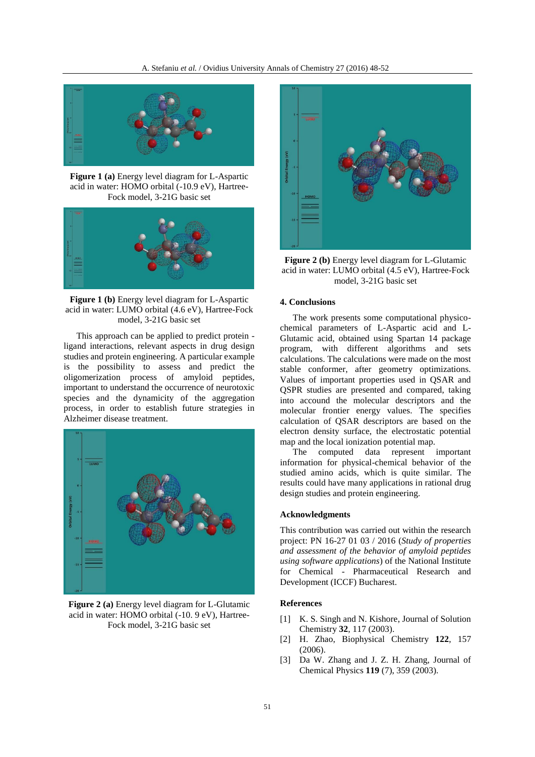

**Figure 1 (a)** Energy level diagram for L-Aspartic acid in water: HOMO orbital (-10.9 eV), Hartree-Fock model, 3-21G basic set



**Figure 1 (b)** Energy level diagram for L-Aspartic acid in water: LUMO orbital (4.6 eV), Hartree-Fock model, 3-21G basic set

This approach can be applied to predict protein ligand interactions, relevant aspects in drug design studies and protein engineering. A particular example is the possibility to assess and predict the oligomerization process of amyloid peptides, important to understand the occurrence of neurotoxic species and the dynamicity of the aggregation process, in order to establish future strategies in Alzheimer disease treatment.



**Figure 2 (a)** Energy level diagram for L-Glutamic acid in water: HOMO orbital (-10. 9 eV), Hartree-Fock model, 3-21G basic set



**Figure 2 (b)** Energy level diagram for L-Glutamic acid in water: LUMO orbital (4.5 eV), Hartree-Fock model, 3-21G basic set

## **4. Conclusions**

The work presents some computational physicochemical parameters of L-Aspartic acid and L-Glutamic acid, obtained using Spartan 14 package program, with different algorithms and sets calculations. The calculations were made on the most stable conformer, after geometry optimizations. Values of important properties used in QSAR and QSPR studies are presented and compared, taking into accound the molecular descriptors and the molecular frontier energy values. The specifies calculation of QSAR descriptors are based on the electron density surface, the electrostatic potential map and the local ionization potential map.

The computed data represent important information for physical-chemical behavior of the studied amino acids, which is quite similar. The results could have many applications in rational drug design studies and protein engineering.

#### **Acknowledgments**

This contribution was carried out within the research project: PN 16-27 01 03 / 2016 (*Study of properties and assessment of the behavior of amyloid peptides using software applications*) of the National Institute for Chemical - Pharmaceutical Research and Development (ICCF) Bucharest.

### **References**

- [1] K. S. Singh and N. Kishore, Journal of Solution Chemistry **32**, 117 (2003).
- [2] H. Zhao, Biophysical Chemistry **122**, 157 (2006).
- [3] Da W. Zhang and J. Z. H. Zhang, Journal of Chemical Physics **119** (7), 359 (2003).